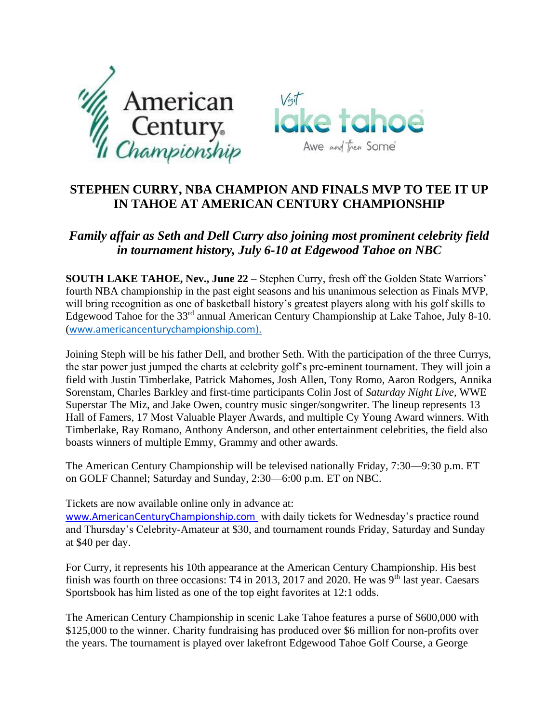



## **STEPHEN CURRY, NBA CHAMPION AND FINALS MVP TO TEE IT UP IN TAHOE AT AMERICAN CENTURY CHAMPIONSHIP**

## *Family affair as Seth and Dell Curry also joining most prominent celebrity field in tournament history, July 6-10 at Edgewood Tahoe on NBC*

**SOUTH LAKE TAHOE, Nev., June 22** – Stephen Curry, fresh off the Golden State Warriors' fourth NBA championship in the past eight seasons and his unanimous selection as Finals MVP, will bring recognition as one of basketball history's greatest players along with his golf skills to Edgewood Tahoe for the 33<sup>rd</sup> annual American Century Championship at Lake Tahoe, July 8-10. ([www.americancenturychampionship.com\)](http://www.americancenturychampionship.com/).

Joining Steph will be his father Dell, and brother Seth. With the participation of the three Currys, the star power just jumped the charts at celebrity golf's pre-eminent tournament. They will join a field with Justin Timberlake, Patrick Mahomes, Josh Allen, Tony Romo, Aaron Rodgers, Annika Sorenstam, Charles Barkley and first-time participants Colin Jost of *Saturday Night Live*, WWE Superstar The Miz, and Jake Owen, country music singer/songwriter. The lineup represents 13 Hall of Famers, 17 Most Valuable Player Awards, and multiple Cy Young Award winners. With Timberlake, Ray Romano, Anthony Anderson, and other entertainment celebrities, the field also boasts winners of multiple Emmy, Grammy and other awards.

The American Century Championship will be televised nationally Friday, 7:30—9:30 p.m. ET on GOLF Channel; Saturday and Sunday, 2:30—6:00 p.m. ET on NBC.

Tickets are now available online only in advance at:

[www.AmericanCenturyChampionship.com](http://www.americancenturychampionship.com/) with daily tickets for Wednesday's practice round and Thursday's Celebrity-Amateur at \$30, and tournament rounds Friday, Saturday and Sunday at \$40 per day.

For Curry, it represents his 10th appearance at the American Century Championship. His best finish was fourth on three occasions: T4 in 2013, 2017 and 2020. He was 9<sup>th</sup> last year. Caesars Sportsbook has him listed as one of the top eight favorites at 12:1 odds.

The American Century Championship in scenic Lake Tahoe features a purse of \$600,000 with \$125,000 to the winner. Charity fundraising has produced over \$6 million for non-profits over the years. The tournament is played over lakefront Edgewood Tahoe Golf Course, a George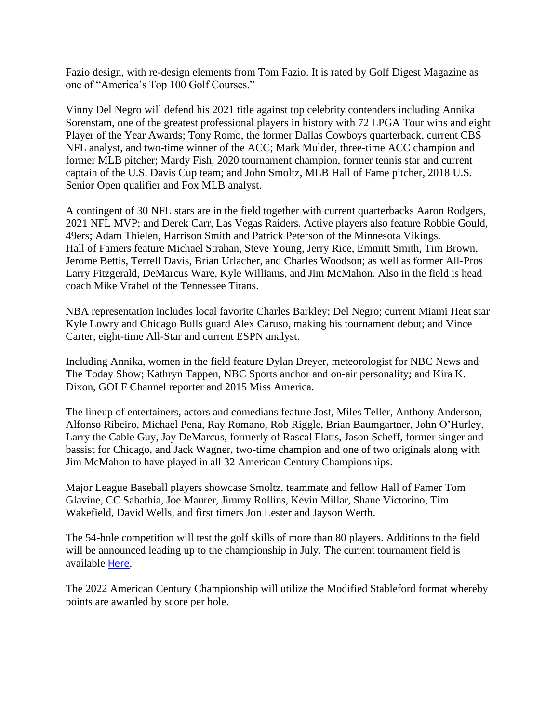Fazio design, with re-design elements from Tom Fazio. It is rated by Golf Digest Magazine as one of "America's Top 100 Golf Courses."

Vinny Del Negro will defend his 2021 title against top celebrity contenders including Annika Sorenstam, one of the greatest professional players in history with 72 LPGA Tour wins and eight Player of the Year Awards; Tony Romo, the former Dallas Cowboys quarterback, current CBS NFL analyst, and two-time winner of the ACC; Mark Mulder, three-time ACC champion and former MLB pitcher; Mardy Fish, 2020 tournament champion, former tennis star and current captain of the U.S. Davis Cup team; and John Smoltz, MLB Hall of Fame pitcher, 2018 U.S. Senior Open qualifier and Fox MLB analyst.

A contingent of 30 NFL stars are in the field together with current quarterbacks Aaron Rodgers, 2021 NFL MVP; and Derek Carr, Las Vegas Raiders. Active players also feature Robbie Gould, 49ers; Adam Thielen, Harrison Smith and Patrick Peterson of the Minnesota Vikings. Hall of Famers feature Michael Strahan, Steve Young, Jerry Rice, Emmitt Smith, Tim Brown, Jerome Bettis, Terrell Davis, Brian Urlacher, and Charles Woodson; as well as former All-Pros Larry Fitzgerald, DeMarcus Ware, Kyle Williams, and Jim McMahon. Also in the field is head coach Mike Vrabel of the Tennessee Titans.

NBA representation includes local favorite Charles Barkley; Del Negro; current Miami Heat star Kyle Lowry and Chicago Bulls guard Alex Caruso, making his tournament debut; and Vince Carter, eight-time All-Star and current ESPN analyst.

Including Annika, women in the field feature Dylan Dreyer, meteorologist for NBC News and The Today Show; Kathryn Tappen, NBC Sports anchor and on-air personality; and Kira K. Dixon, GOLF Channel reporter and 2015 Miss America.

The lineup of entertainers, actors and comedians feature Jost, Miles Teller, Anthony Anderson, Alfonso Ribeiro, Michael Pena, Ray Romano, Rob Riggle, Brian Baumgartner, John O'Hurley, Larry the Cable Guy, Jay DeMarcus, formerly of Rascal Flatts, Jason Scheff, former singer and bassist for Chicago, and Jack Wagner, two-time champion and one of two originals along with Jim McMahon to have played in all 32 American Century Championships.

Major League Baseball players showcase Smoltz, teammate and fellow Hall of Famer Tom Glavine, CC Sabathia, Joe Maurer, Jimmy Rollins, Kevin Millar, Shane Victorino, Tim Wakefield, David Wells, and first timers Jon Lester and Jayson Werth.

The 54-hole competition will test the golf skills of more than 80 players. Additions to the field will be announced leading up to the championship in July. The current tournament field is available [Here](https://americancenturychampionship.com/category/celebrities/).

The 2022 American Century Championship will utilize the Modified Stableford format whereby points are awarded by score per hole.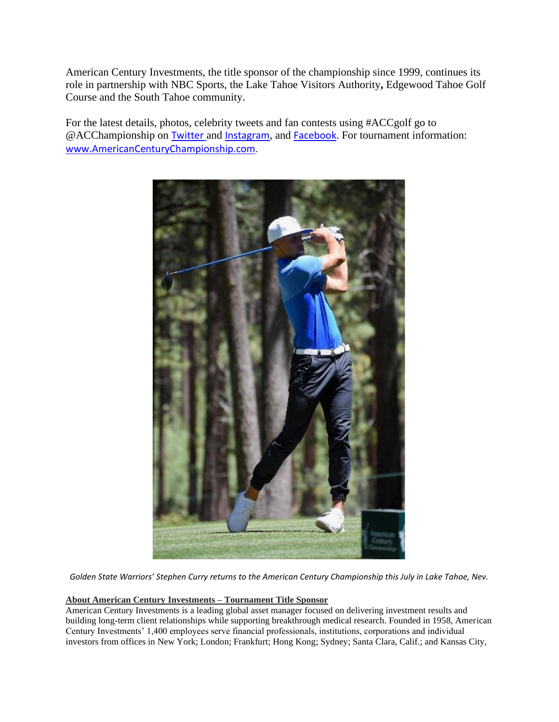American Century Investments, the title sponsor of the championship since 1999, continues its role in partnership with NBC Sports, the Lake Tahoe Visitors Authority**,** Edgewood Tahoe Golf Course and the South Tahoe community.

For the latest details, photos, celebrity tweets and fan contests using #ACCgolf go to @ACChampionship on [Twitter](https://twitter.com/ACChampionship) and [Instagram](https://www.instagram.com/acchampionship/), and [Facebook](https://www.facebook.com/ACChampionship). For tournament information: [www.AmericanCenturyChampionship.com](http://www.americancenturychampionship.com/).



*Golden State Warriors' Stephen Curry returns to the American Century Championship this July in Lake Tahoe, Nev.*

## **About American Century Investments – Tournament Title Sponsor**

American Century Investments is a leading global asset manager focused on delivering investment results and building long-term client relationships while supporting breakthrough medical research. Founded in 1958, American Century Investments' 1,400 employees serve financial professionals, institutions, corporations and individual investors from offices in New York; London; Frankfurt; Hong Kong; Sydney; Santa Clara, Calif.; and Kansas City,